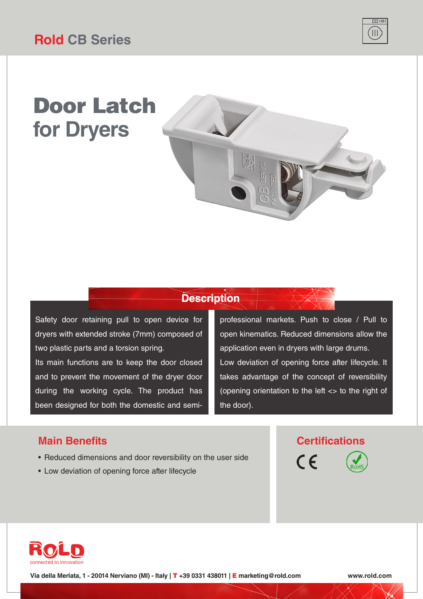# Door Latch **for Dryers**

#### **Description**

Safety door retaining pull to open device for dryers with extended stroke (7mm) composed of two plastic parts and a torsion spring. Its main functions are to keep the door closed and to prevent the movement of the dryer door during the working cycle. The product has been designed for both the domestic and semiprofessional markets. Push to close / Pull to open kinematics. Reduced dimensions allow the application even in dryers with large drums. Low deviation of opening force after lifecycle. It takes advantage of the concept of reversibility (opening orientation to the left <> to the right of the door).

 $C \in$ 

#### **Main Benefits**

- Reduced dimensions and door reversibility on the user side
- Low deviation of opening force after lifecycle

#### **Certifications**



 $\overline{\Box}$  :0:  $\{$ 



**Via della Merlata, 1 - 20014 Nerviano (MI) - Italy |** T **+39 0331 438011 |** E **marketing@rold.com www.rold.com**